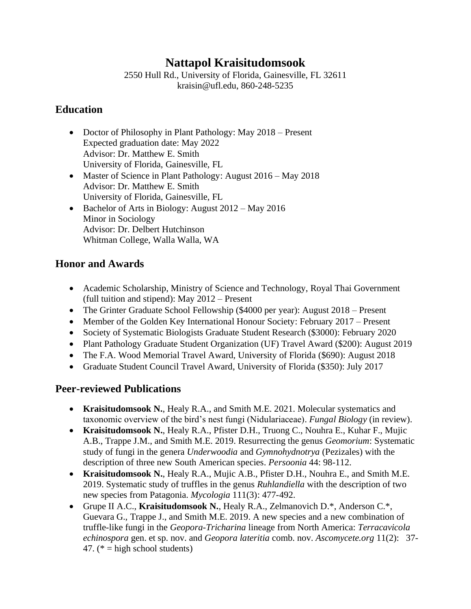# **Nattapol Kraisitudomsook**

2550 Hull Rd., University of Florida, Gainesville, FL 32611 kraisin@ufl.edu, 860-248-5235

#### **Education**

- Doctor of Philosophy in Plant Pathology: May 2018 Present Expected graduation date: May 2022 Advisor: Dr. Matthew E. Smith University of Florida, Gainesville, FL
- Master of Science in Plant Pathology: August 2016 May 2018 Advisor: Dr. Matthew E. Smith University of Florida, Gainesville, FL
- Bachelor of Arts in Biology: August 2012 May 2016 Minor in Sociology Advisor: Dr. Delbert Hutchinson Whitman College, Walla Walla, WA

## **Honor and Awards**

- Academic Scholarship, Ministry of Science and Technology, Royal Thai Government (full tuition and stipend): May 2012 – Present
- The Grinter Graduate School Fellowship (\$4000 per year): August 2018 Present
- Member of the Golden Key International Honour Society: February 2017 Present
- Society of Systematic Biologists Graduate Student Research (\$3000): February 2020
- Plant Pathology Graduate Student Organization (UF) Travel Award (\$200): August 2019
- The F.A. Wood Memorial Travel Award, University of Florida (\$690): August 2018
- Graduate Student Council Travel Award, University of Florida (\$350): July 2017

## **Peer-reviewed Publications**

- **Kraisitudomsook N.**, Healy R.A., and Smith M.E. 2021. Molecular systematics and taxonomic overview of the bird's nest fungi (Nidulariaceae). *Fungal Biology* (in review).
- **Kraisitudomsook N.**, Healy R.A., Pfister D.H., Truong C., Nouhra E., Kuhar F., Mujic A.B., Trappe J.M., and Smith M.E. 2019. Resurrecting the genus *Geomorium*: Systematic study of fungi in the genera *Underwoodia* and *Gymnohydnotrya* (Pezizales) with the description of three new South American species. *Persoonia* 44: 98-112.
- **Kraisitudomsook N.**, Healy R.A., Mujic A.B., Pfister D.H., Nouhra E., and Smith M.E. 2019. Systematic study of truffles in the genus *Ruhlandiella* with the description of two new species from Patagonia. *Mycologia* 111(3): 477-492.
- Grupe II A.C., **Kraisitudomsook N.**, Healy R.A., Zelmanovich D.\*, Anderson C.\*, Guevara G., Trappe J., and Smith M.E. 2019. A new species and a new combination of truffle-like fungi in the *Geopora-Tricharina* lineage from North America: *Terracavicola echinospora* gen. et sp. nov. and *Geopora lateritia* comb. nov. *Ascomycete.org* 11(2): 37- 47.  $(* = high school students)$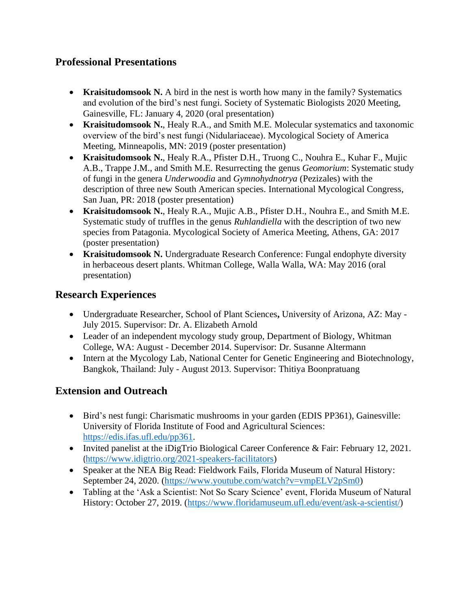#### **Professional Presentations**

- **Kraisitudomsook N.** A bird in the nest is worth how many in the family? Systematics and evolution of the bird's nest fungi. Society of Systematic Biologists 2020 Meeting, Gainesville, FL: January 4, 2020 (oral presentation)
- **Kraisitudomsook N.**, Healy R.A., and Smith M.E. Molecular systematics and taxonomic overview of the bird's nest fungi (Nidulariaceae). Mycological Society of America Meeting, Minneapolis, MN: 2019 (poster presentation)
- **Kraisitudomsook N.**, Healy R.A., Pfister D.H., Truong C., Nouhra E., Kuhar F., Mujic A.B., Trappe J.M., and Smith M.E. Resurrecting the genus *Geomorium*: Systematic study of fungi in the genera *Underwoodia* and *Gymnohydnotrya* (Pezizales) with the description of three new South American species. International Mycological Congress, San Juan, PR: 2018 (poster presentation)
- **Kraisitudomsook N.**, Healy R.A., Mujic A.B., Pfister D.H., Nouhra E., and Smith M.E. Systematic study of truffles in the genus *Ruhlandiella* with the description of two new species from Patagonia. Mycological Society of America Meeting, Athens, GA: 2017 (poster presentation)
- **Kraisitudomsook N.** Undergraduate Research Conference: Fungal endophyte diversity in herbaceous desert plants. Whitman College, Walla Walla, WA: May 2016 (oral presentation)

#### **Research Experiences**

- Undergraduate Researcher, School of Plant Sciences**,** University of Arizona, AZ: May July 2015. Supervisor: Dr. A. Elizabeth Arnold
- Leader of an independent mycology study group, Department of Biology, Whitman College, WA: August - December 2014. Supervisor: Dr. Susanne Altermann
- Intern at the Mycology Lab, National Center for Genetic Engineering and Biotechnology, Bangkok, Thailand: July - August 2013. Supervisor: Thitiya Boonpratuang

## **Extension and Outreach**

- Bird's nest fungi: Charismatic mushrooms in your garden (EDIS PP361), Gainesville: University of Florida Institute of Food and Agricultural Sciences: [https://edis.ifas.ufl.edu/pp361.](https://edis.ifas.ufl.edu/pp361)
- Invited panelist at the iDigTrio Biological Career Conference & Fair: February 12, 2021. ([https://www.idigtrio.org/2021-speakers-facilitators\)](https://www.idigtrio.org/2021-speakers-facilitators)
- Speaker at the NEA Big Read: Fieldwork Fails, Florida Museum of Natural History: September 24, 2020. [\(https://www.youtube.com/watch?v=vmpELV2pSm0\)](https://www.youtube.com/watch?v=vmpELV2pSm0)
- Tabling at the 'Ask a Scientist: Not So Scary Science' event, Florida Museum of Natural History: October 27, 2019. [\(https://www.floridamuseum.ufl.edu/event/ask-a-scientist/\)](https://www.floridamuseum.ufl.edu/event/ask-a-scientist/)